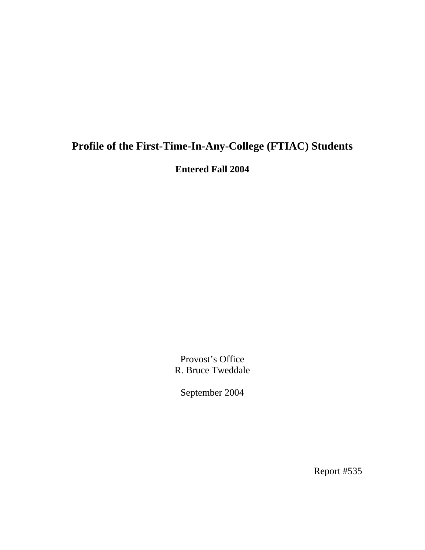## **Profile of the First-Time-In-Any-College (FTIAC) Students**

**Entered Fall 2004** 

Provost's Office R. Bruce Tweddale

September 2004

Report #535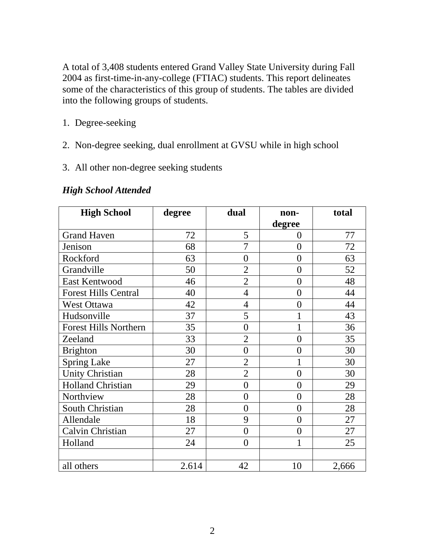A total of 3,408 students entered Grand Valley State University during Fall 2004 as first-time-in-any-college (FTIAC) students. This report delineates some of the characteristics of this group of students. The tables are divided into the following groups of students.

- 1. Degree-seeking
- 2. Non-degree seeking, dual enrollment at GVSU while in high school
- 3. All other non-degree seeking students

| <b>High School</b>           | degree | dual           | non-           | total |
|------------------------------|--------|----------------|----------------|-------|
|                              |        |                | degree         |       |
| <b>Grand Haven</b>           | 72     | 5              | $\overline{0}$ | 77    |
| Jenison                      | 68     | $\overline{7}$ | $\overline{0}$ | 72    |
| Rockford                     | 63     | $\overline{0}$ | $\overline{0}$ | 63    |
| Grandville                   | 50     | $\overline{2}$ | $\overline{0}$ | 52    |
| East Kentwood                | 46     | $\overline{2}$ | $\overline{0}$ | 48    |
| <b>Forest Hills Central</b>  | 40     | $\overline{4}$ | $\overline{0}$ | 44    |
| West Ottawa                  | 42     | 4              | $\overline{0}$ | 44    |
| Hudsonville                  | 37     | 5              | 1              | 43    |
| <b>Forest Hills Northern</b> | 35     | $\overline{0}$ | $\mathbf{1}$   | 36    |
| Zeeland                      | 33     | $\overline{2}$ | $\overline{0}$ | 35    |
| <b>Brighton</b>              | 30     | $\overline{0}$ | $\overline{0}$ | 30    |
| <b>Spring Lake</b>           | 27     | $\overline{2}$ | 1              | 30    |
| <b>Unity Christian</b>       | 28     | $\overline{2}$ | $\overline{0}$ | 30    |
| <b>Holland Christian</b>     | 29     | $\overline{0}$ | $\overline{0}$ | 29    |
| Northview                    | 28     | $\overline{0}$ | $\overline{0}$ | 28    |
| South Christian              | 28     | $\overline{0}$ | $\overline{0}$ | 28    |
| Allendale                    | 18     | 9              | $\overline{0}$ | 27    |
| Calvin Christian             | 27     | $\overline{0}$ | $\overline{0}$ | 27    |
| Holland                      | 24     | $\theta$       | 1              | 25    |
|                              |        |                |                |       |
| all others                   | 2.614  | 42             | 10             | 2,666 |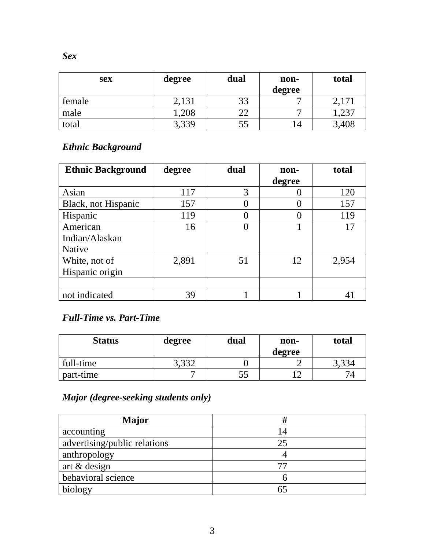| <b>sex</b> | degree | dual | non-<br>degree | total |
|------------|--------|------|----------------|-------|
| female     | 2,131  | 33   |                | 2,171 |
| male       | 1,208  |      |                | ,237  |
| total      | 3,339  | 55   | $\overline{4}$ | 3,408 |

### *Ethnic Background*

| <b>Ethnic Background</b> | degree | dual | non-   | total |
|--------------------------|--------|------|--------|-------|
|                          |        |      | degree |       |
| Asian                    | 117    | 3    |        | 120   |
| Black, not Hispanic      | 157    |      |        | 157   |
| Hispanic                 | 119    |      |        | 119   |
| American                 | 16     |      | 1      | 17    |
| Indian/Alaskan           |        |      |        |       |
| Native                   |        |      |        |       |
| White, not of            | 2,891  | 51   | 12     | 2,954 |
| Hispanic origin          |        |      |        |       |
|                          |        |      |        |       |
| not indicated            | 39     |      |        |       |

#### *Full-Time vs. Part-Time*

| <b>Status</b> | degree | dual | non-<br>degree | total |
|---------------|--------|------|----------------|-------|
| full-time     | 3,332  |      |                | 3,334 |
| part-time     |        |      |                |       |

## *Major (degree-seeking students only)*

| Major                        |    |
|------------------------------|----|
| accounting                   | 14 |
| advertising/public relations | 25 |
| anthropology                 |    |
| art & design                 |    |
| behavioral science           |    |
| biology                      |    |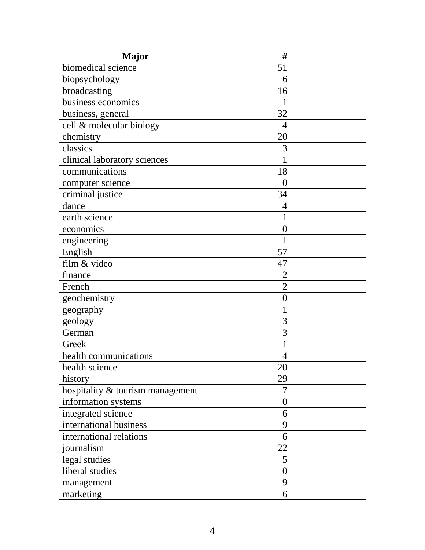| <b>Major</b>                     | #                |
|----------------------------------|------------------|
| biomedical science               | 51               |
| biopsychology                    | 6                |
| broadcasting                     | 16               |
| business economics               |                  |
| business, general                | 32               |
| cell & molecular biology         | 4                |
| chemistry                        | 20               |
| classics                         | 3                |
| clinical laboratory sciences     |                  |
| communications                   | 18               |
| computer science                 | $\overline{0}$   |
| criminal justice                 | 34               |
| dance                            | 4                |
| earth science                    |                  |
| economics                        | $\overline{0}$   |
| engineering                      |                  |
| English                          | 57               |
| film & video                     | 47               |
| finance                          | $\overline{2}$   |
| French                           | $\overline{2}$   |
| geochemistry                     | $\boldsymbol{0}$ |
| geography                        |                  |
| geology                          | 3                |
| German                           | 3                |
| Greek                            |                  |
| health communications            | $\overline{4}$   |
| health science                   | 20               |
| history                          | 29               |
| hospitality & tourism management | 7                |
| information systems              | $\overline{0}$   |
| integrated science               | 6                |
| international business           | 9                |
| international relations          | 6                |
| journalism                       | 22               |
| legal studies                    | 5                |
| liberal studies                  | $\overline{0}$   |
| management                       | 9                |
| marketing                        | 6                |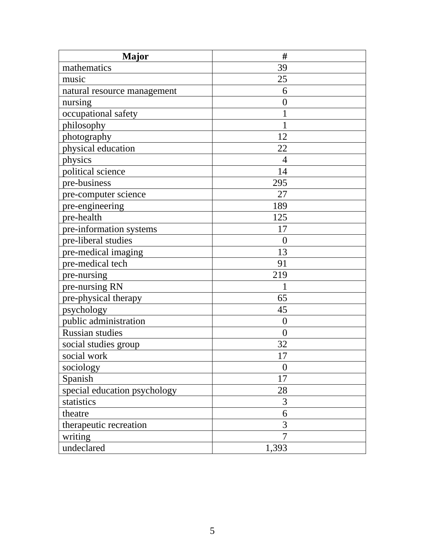| <b>Major</b>                 | #                |
|------------------------------|------------------|
| mathematics                  | 39               |
| music                        | 25               |
| natural resource management  | 6                |
| nursing                      | $\boldsymbol{0}$ |
| occupational safety          | 1                |
| philosophy                   | 1                |
| photography                  | 12               |
| physical education           | 22               |
| physics                      | $\overline{4}$   |
| political science            | 14               |
| pre-business                 | 295              |
| pre-computer science         | 27               |
| pre-engineering              | 189              |
| pre-health                   | 125              |
| pre-information systems      | 17               |
| pre-liberal studies          | $\overline{0}$   |
| pre-medical imaging          | 13               |
| pre-medical tech             | 91               |
| pre-nursing                  | 219              |
| pre-nursing RN               |                  |
| pre-physical therapy         | 65               |
| psychology                   | 45               |
| public administration        | $\boldsymbol{0}$ |
| <b>Russian studies</b>       | $\overline{0}$   |
| social studies group         | 32               |
| social work                  | 17               |
| sociology                    | $\boldsymbol{0}$ |
| Spanish                      | 17               |
| special education psychology | 28               |
| statistics                   | 3                |
| theatre                      | 6                |
| therapeutic recreation       | $\overline{3}$   |
| writing                      | $\overline{7}$   |
| undeclared                   | 1,393            |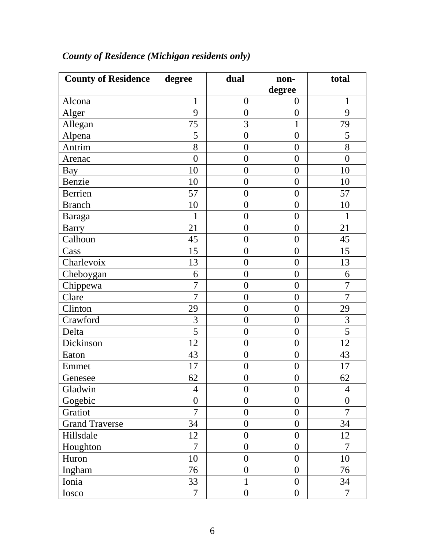| <b>County of Residence</b> | degree         | dual             | non-             | total            |
|----------------------------|----------------|------------------|------------------|------------------|
|                            |                |                  | degree           |                  |
| Alcona                     | 1              | $\boldsymbol{0}$ | $\overline{0}$   | 1                |
| Alger                      | 9              | $\overline{0}$   | $\overline{0}$   | 9                |
| Allegan                    | 75             | 3                | $\mathbf 1$      | 79               |
| Alpena                     | 5              | $\overline{0}$   | $\overline{0}$   | 5                |
| Antrim                     | 8              | $\boldsymbol{0}$ | $\overline{0}$   | 8                |
| Arenac                     | $\overline{0}$ | $\overline{0}$   | $\overline{0}$   | $\boldsymbol{0}$ |
| Bay                        | 10             | $\boldsymbol{0}$ | $\boldsymbol{0}$ | 10               |
| Benzie                     | 10             | $\boldsymbol{0}$ | $\boldsymbol{0}$ | 10               |
| Berrien                    | 57             | $\boldsymbol{0}$ | $\boldsymbol{0}$ | 57               |
| <b>Branch</b>              | 10             | $\boldsymbol{0}$ | $\overline{0}$   | 10               |
| <b>Baraga</b>              | $\mathbf 1$    | $\boldsymbol{0}$ | $\boldsymbol{0}$ | $\mathbf{1}$     |
| <b>Barry</b>               | 21             | $\boldsymbol{0}$ | $\overline{0}$   | 21               |
| Calhoun                    | 45             | $\boldsymbol{0}$ | $\boldsymbol{0}$ | 45               |
| Cass                       | 15             | $\overline{0}$   | $\overline{0}$   | 15               |
| Charlevoix                 | 13             | $\boldsymbol{0}$ | $\overline{0}$   | 13               |
| Cheboygan                  | 6              | $\boldsymbol{0}$ | $\boldsymbol{0}$ | 6                |
| Chippewa                   | $\overline{7}$ | $\overline{0}$   | $\boldsymbol{0}$ | $\overline{7}$   |
| Clare                      | $\overline{7}$ | $\boldsymbol{0}$ | $\boldsymbol{0}$ | $\overline{7}$   |
| Clinton                    | 29             | $\boldsymbol{0}$ | $\overline{0}$   | 29               |
| Crawford                   | 3              | $\boldsymbol{0}$ | $\overline{0}$   | 3                |
| Delta                      | $\overline{5}$ | $\overline{0}$   | $\overline{0}$   | $\overline{5}$   |
| Dickinson                  | 12             | $\boldsymbol{0}$ | $\overline{0}$   | 12               |
| Eaton                      | 43             | $\boldsymbol{0}$ | $\overline{0}$   | 43               |
| Emmet                      | 17             | $\boldsymbol{0}$ | $\boldsymbol{0}$ | 17               |
| Genesee                    | 62             | $\boldsymbol{0}$ | $\boldsymbol{0}$ | 62               |
| Gladwin                    | $\overline{4}$ | $\boldsymbol{0}$ | $\boldsymbol{0}$ | $\overline{4}$   |
| Gogebic                    | $\overline{0}$ | $\overline{0}$   | $\boldsymbol{0}$ | $\boldsymbol{0}$ |
| Gratiot                    | 7              | $\overline{0}$   | $\overline{0}$   | 7                |
| <b>Grand Traverse</b>      | 34             | $\overline{0}$   | $\overline{0}$   | 34               |
| Hillsdale                  | 12             | $\boldsymbol{0}$ | $\boldsymbol{0}$ | 12               |
| Houghton                   | $\overline{7}$ | $\boldsymbol{0}$ | $\overline{0}$   | 7                |
| Huron                      | 10             | $\overline{0}$   | $\overline{0}$   | 10               |
| Ingham                     | 76             | $\boldsymbol{0}$ | $\overline{0}$   | 76               |
| Ionia                      | 33             | 1                | $\overline{0}$   | 34               |
| Iosco                      | $\overline{7}$ | $\boldsymbol{0}$ | $\boldsymbol{0}$ | $\overline{7}$   |

# *County of Residence (Michigan residents only)*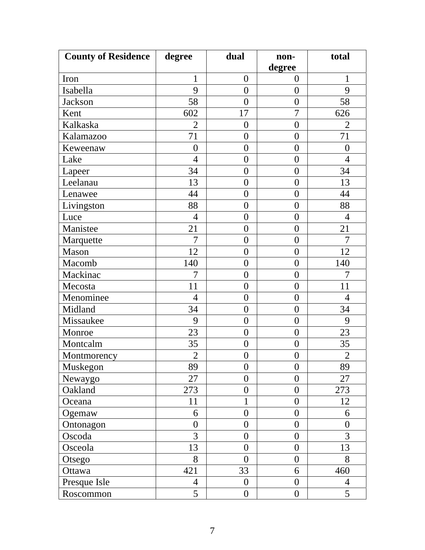| <b>County of Residence</b> | degree         | dual             | non-             | total            |
|----------------------------|----------------|------------------|------------------|------------------|
|                            |                |                  | degree           |                  |
| Iron                       | $\mathbf{1}$   | $\boldsymbol{0}$ | $\overline{0}$   | 1                |
| Isabella                   | 9              | $\overline{0}$   | $\overline{0}$   | 9                |
| <b>Jackson</b>             | 58             | $\overline{0}$   | $\overline{0}$   | 58               |
| Kent                       | 602            | 17               | $\overline{7}$   | 626              |
| Kalkaska                   | $\overline{2}$ | $\boldsymbol{0}$ | $\boldsymbol{0}$ | $\overline{2}$   |
| Kalamazoo                  | 71             | $\overline{0}$   | $\overline{0}$   | 71               |
| Keweenaw                   | $\overline{0}$ | $\overline{0}$   | $\overline{0}$   | $\overline{0}$   |
| Lake                       | $\overline{4}$ | $\overline{0}$   | $\boldsymbol{0}$ | $\overline{4}$   |
| Lapeer                     | 34             | $\overline{0}$   | $\overline{0}$   | 34               |
| Leelanau                   | 13             | $\overline{0}$   | $\boldsymbol{0}$ | 13               |
| Lenawee                    | 44             | $\overline{0}$   | $\overline{0}$   | 44               |
| Livingston                 | 88             | $\overline{0}$   | $\boldsymbol{0}$ | 88               |
| Luce                       | $\overline{4}$ | $\overline{0}$   | $\overline{0}$   | $\overline{4}$   |
| Manistee                   | 21             | $\overline{0}$   | $\boldsymbol{0}$ | 21               |
| Marquette                  | 7              | $\overline{0}$   | $\boldsymbol{0}$ | 7                |
| Mason                      | 12             | $\overline{0}$   | $\boldsymbol{0}$ | 12               |
| Macomb                     | 140            | $\overline{0}$   | $\boldsymbol{0}$ | 140              |
| Mackinac                   | 7              | $\overline{0}$   | $\overline{0}$   | 7                |
| Mecosta                    | 11             | $\overline{0}$   | $\overline{0}$   | 11               |
| Menominee                  | $\overline{4}$ | $\overline{0}$   | $\boldsymbol{0}$ | $\overline{4}$   |
| Midland                    | 34             | $\overline{0}$   | $\overline{0}$   | 34               |
| Missaukee                  | 9              | $\overline{0}$   | $\overline{0}$   | 9                |
| Monroe                     | 23             | $\boldsymbol{0}$ | $\boldsymbol{0}$ | 23               |
| Montcalm                   | 35             | $\overline{0}$   | $\boldsymbol{0}$ | 35               |
| Montmorency                | $\overline{2}$ | $\boldsymbol{0}$ | $\boldsymbol{0}$ | $\overline{2}$   |
| Muskegon                   | 89             | $\overline{0}$   | $\overline{0}$   | 89               |
| Newaygo                    | 27             | $\overline{0}$   | $\overline{0}$   | 27               |
| Oakland                    | 273            | $\overline{0}$   | $\overline{0}$   | 273              |
| Oceana                     | 11             | 1                | $\boldsymbol{0}$ | 12               |
| Ogemaw                     | 6              | $\boldsymbol{0}$ | $\boldsymbol{0}$ | 6                |
| Ontonagon                  | $\overline{0}$ | $\overline{0}$   | $\boldsymbol{0}$ | $\boldsymbol{0}$ |
| Oscoda                     | 3              | $\overline{0}$   | $\overline{0}$   | 3                |
| Osceola                    | 13             | $\overline{0}$   | $\boldsymbol{0}$ | 13               |
| Otsego                     | 8              | $\overline{0}$   | $\overline{0}$   | 8                |
| Ottawa                     | 421            | 33               | 6                | 460              |
| Presque Isle               | $\overline{4}$ | $\theta$         | $\overline{0}$   | $\overline{4}$   |
| Roscommon                  | 5              | $\boldsymbol{0}$ | $\boldsymbol{0}$ | 5                |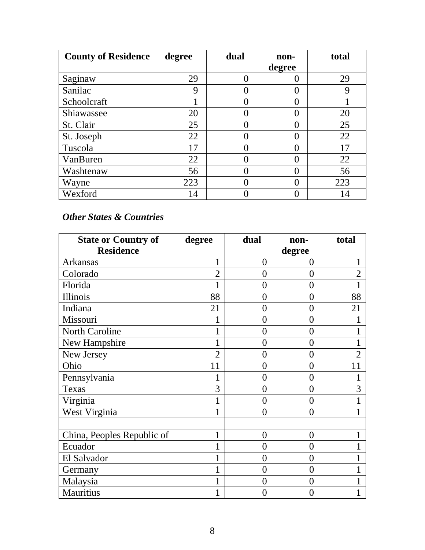| <b>County of Residence</b> | degree | dual | non-          | total |
|----------------------------|--------|------|---------------|-------|
|                            |        |      | degree        |       |
| Saginaw                    | 29     |      |               | 29    |
| Sanilac                    | 9      |      |               | 9     |
| Schoolcraft                |        |      |               |       |
| Shiawassee                 | 20     |      | 0             | 20    |
| St. Clair                  | 25     |      | $\Omega$      | 25    |
| St. Joseph                 | 22     |      |               | 22    |
| Tuscola                    | 17     |      | $\mathcal{O}$ | 17    |
| VanBuren                   | 22     |      | $\Omega$      | 22    |
| Washtenaw                  | 56     |      | 0             | 56    |
| Wayne                      | 223    |      |               | 223   |
| Wexford                    | 14     |      |               | 14    |

#### *Other States & Countries*

| <b>State or Country of</b> | degree         | dual             | non-           | total          |
|----------------------------|----------------|------------------|----------------|----------------|
| <b>Residence</b>           |                |                  | degree         |                |
| <b>Arkansas</b>            | $\mathbf{1}$   | $\overline{0}$   | $\theta$       |                |
| Colorado                   | $\overline{2}$ | 0                | $\theta$       | $\overline{2}$ |
| Florida                    | 1              | $\overline{0}$   | $\overline{0}$ |                |
| Illinois                   | 88             | $\overline{0}$   | $\theta$       | 88             |
| Indiana                    | 21             | $\overline{0}$   | $\theta$       | 21             |
| Missouri                   |                | $\overline{0}$   | $\theta$       |                |
| North Caroline             |                | $\overline{0}$   | $\theta$       |                |
| New Hampshire              | 1              | $\overline{0}$   | $\theta$       |                |
| New Jersey                 | $\overline{2}$ | $\overline{0}$   | $\theta$       | $\overline{2}$ |
| Ohio                       | 11             | 0                | $\theta$       | 11             |
| Pennsylvania               | 1              | $\overline{0}$   | $\theta$       |                |
| Texas                      | 3              | $\overline{0}$   | $\theta$       | 3              |
| Virginia                   | 1              | $\overline{0}$   | $\theta$       |                |
| West Virginia              | 1              | $\theta$         | $\theta$       |                |
|                            |                |                  |                |                |
| China, Peoples Republic of | 1              | $\overline{0}$   | $\theta$       |                |
| Ecuador                    | 1              | $\overline{0}$   | $\overline{0}$ |                |
| El Salvador                |                | $\boldsymbol{0}$ | $\overline{0}$ |                |
| Germany                    | 1              | $\overline{0}$   | $\theta$       |                |
| Malaysia                   | 1              | $\overline{0}$   | $\overline{0}$ |                |
| <b>Mauritius</b>           | 1              | $\overline{0}$   | $\overline{0}$ |                |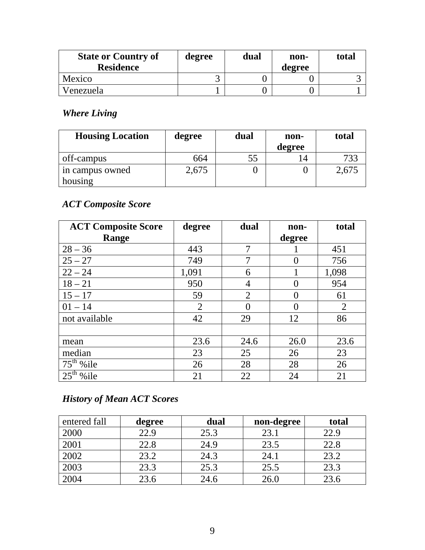| <b>State or Country of</b><br><b>Residence</b> | degree | dual | non-<br>degree | total |
|------------------------------------------------|--------|------|----------------|-------|
| Mexico                                         |        |      |                |       |
| Venezuela                                      |        |      |                |       |

### *Where Living*

| <b>Housing Location</b> | degree | dual | non-<br>degree | total |
|-------------------------|--------|------|----------------|-------|
| off-campus              | 664    |      | $\overline{4}$ |       |
| in campus owned         | 2,675  |      |                | 2,675 |
| housing                 |        |      |                |       |

### *ACT Composite Score*

| <b>ACT Composite Score</b> | degree         | dual              | non-   | total          |
|----------------------------|----------------|-------------------|--------|----------------|
| Range                      |                |                   | degree |                |
| $28 - 36$                  | 443            | $\overline{7}$    |        | 451            |
| $25 - 27$                  | 749            | 7                 | 0      | 756            |
| $22 - 24$                  | 1,091          | 6                 |        | 1,098          |
| $18 - 21$                  | 950            | 4                 | 0      | 954            |
| $15 - 17$                  | 59             | $\overline{2}$    | 0      | 61             |
| $01 - 14$                  | $\overline{2}$ | $\mathbf{\Omega}$ | 0      | $\overline{2}$ |
| not available              | 42             | 29                | 12     | 86             |
|                            |                |                   |        |                |
| mean                       | 23.6           | 24.6              | 26.0   | 23.6           |
| median                     | 23             | 25                | 26     | 23             |
| $75th$ % ile               | 26             | 28                | 28     | 26             |
| $25^{\text{th}}$<br>%ile   | 21             | 22                | 24     | 21             |

# *History of Mean ACT Scores*

| entered fall | degree | dual | non-degree | total |
|--------------|--------|------|------------|-------|
| 2000         | 22.9   | 25.3 | 23.1       | 22.9  |
| 2001         | 22.8   | 24.9 | 23.5       | 22.8  |
| 2002         | 23.2   | 24.3 | 24.1       | 23.2  |
| 2003         | 23.3   | 25.3 | 25.5       | 23.3  |
| 2004         | 23.6   | 24.6 | 26.0       | 23.6  |